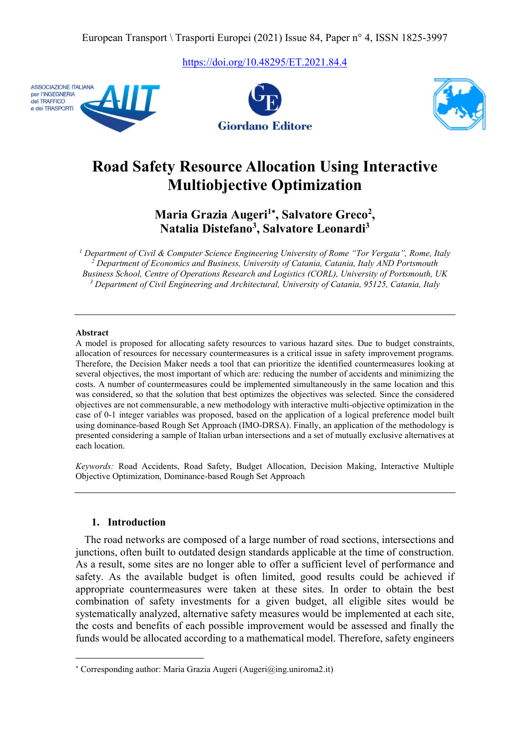https://doi.org/10.48295/ET.2021.84.4







# Road Safety Resource Allocation Using Interactive Multiobjective Optimization

Maria Grazia Augeri<sup>1</sup>\*, Salvatore Greco<sup>2</sup>, Natalia Distefano<sup>3</sup>, Salvatore Leonardi<sup>3</sup>

<sup>1</sup> Department of Civil & Computer Science Engineering University of Rome "Tor Vergata", Rome, Italy <sup>2</sup> Department of Economics and Business, University of Catania, Catania, Italy AND Portsmouth Business School, Centre of Operations Research and Logistics (CORL), University of Portsmouth, UK <sup>3</sup> Department of Civil Engineering and Architectural, University of Catania, 95125, Catania, Italy

#### Abstract

A model is proposed for allocating safety resources to various hazard sites. Due to budget constraints, allocation of resources for necessary countermeasures is a critical issue in safety improvement programs. Therefore, the Decision Maker needs a tool that can prioritize the identified countermeasures looking at several objectives, the most important of which are: reducing the number of accidents and minimizing the costs. A number of countermeasures could be implemented simultaneously in the same location and this was considered, so that the solution that best optimizes the objectives was selected. Since the considered objectives are not commensurable, a new methodology with interactive multi-objective optimization in the case of 0-1 integer variables was proposed, based on the application of a logical preference model built using dominance-based Rough Set Approach (IMO-DRSA). Finally, an application of the methodology is presented considering a sample of Italian urban intersections and a set of mutually exclusive alternatives at each location.

Keywords: Road Accidents, Road Safety, Budget Allocation, Decision Making, Interactive Multiple Objective Optimization, Dominance-based Rough Set Approach

#### 1. Introduction

 $\overline{a}$ 

The road networks are composed of a large number of road sections, intersections and junctions, often built to outdated design standards applicable at the time of construction. As a result, some sites are no longer able to offer a sufficient level of performance and safety. As the available budget is often limited, good results could be achieved if appropriate countermeasures were taken at these sites. In order to obtain the best combination of safety investments for a given budget, all eligible sites would be systematically analyzed, alternative safety measures would be implemented at each site, the costs and benefits of each possible improvement would be assessed and finally the funds would be allocated according to a mathematical model. Therefore, safety engineers

 Corresponding author: Maria Grazia Augeri (Augeri@ing.uniroma2.it)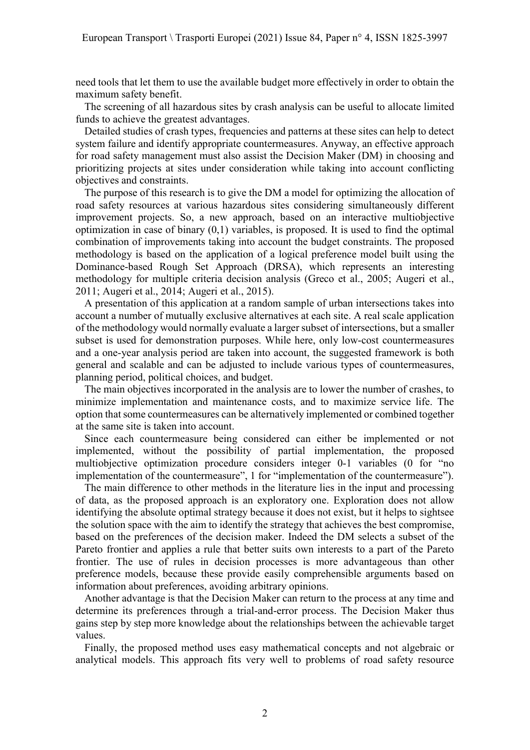need tools that let them to use the available budget more effectively in order to obtain the maximum safety benefit.

The screening of all hazardous sites by crash analysis can be useful to allocate limited funds to achieve the greatest advantages.

Detailed studies of crash types, frequencies and patterns at these sites can help to detect system failure and identify appropriate countermeasures. Anyway, an effective approach for road safety management must also assist the Decision Maker (DM) in choosing and prioritizing projects at sites under consideration while taking into account conflicting objectives and constraints.

The purpose of this research is to give the DM a model for optimizing the allocation of road safety resources at various hazardous sites considering simultaneously different improvement projects. So, a new approach, based on an interactive multiobjective optimization in case of binary (0,1) variables, is proposed. It is used to find the optimal combination of improvements taking into account the budget constraints. The proposed methodology is based on the application of a logical preference model built using the Dominance-based Rough Set Approach (DRSA), which represents an interesting methodology for multiple criteria decision analysis (Greco et al., 2005; Augeri et al., 2011; Augeri et al., 2014; Augeri et al., 2015).

A presentation of this application at a random sample of urban intersections takes into account a number of mutually exclusive alternatives at each site. A real scale application of the methodology would normally evaluate a larger subset of intersections, but a smaller subset is used for demonstration purposes. While here, only low-cost countermeasures and a one-year analysis period are taken into account, the suggested framework is both general and scalable and can be adjusted to include various types of countermeasures, planning period, political choices, and budget.

The main objectives incorporated in the analysis are to lower the number of crashes, to minimize implementation and maintenance costs, and to maximize service life. The option that some countermeasures can be alternatively implemented or combined together at the same site is taken into account.

Since each countermeasure being considered can either be implemented or not implemented, without the possibility of partial implementation, the proposed multiobjective optimization procedure considers integer 0-1 variables (0 for "no implementation of the countermeasure", 1 for "implementation of the countermeasure").

The main difference to other methods in the literature lies in the input and processing of data, as the proposed approach is an exploratory one. Exploration does not allow identifying the absolute optimal strategy because it does not exist, but it helps to sightsee the solution space with the aim to identify the strategy that achieves the best compromise, based on the preferences of the decision maker. Indeed the DM selects a subset of the Pareto frontier and applies a rule that better suits own interests to a part of the Pareto frontier. The use of rules in decision processes is more advantageous than other preference models, because these provide easily comprehensible arguments based on information about preferences, avoiding arbitrary opinions.

Another advantage is that the Decision Maker can return to the process at any time and determine its preferences through a trial-and-error process. The Decision Maker thus gains step by step more knowledge about the relationships between the achievable target values.

Finally, the proposed method uses easy mathematical concepts and not algebraic or analytical models. This approach fits very well to problems of road safety resource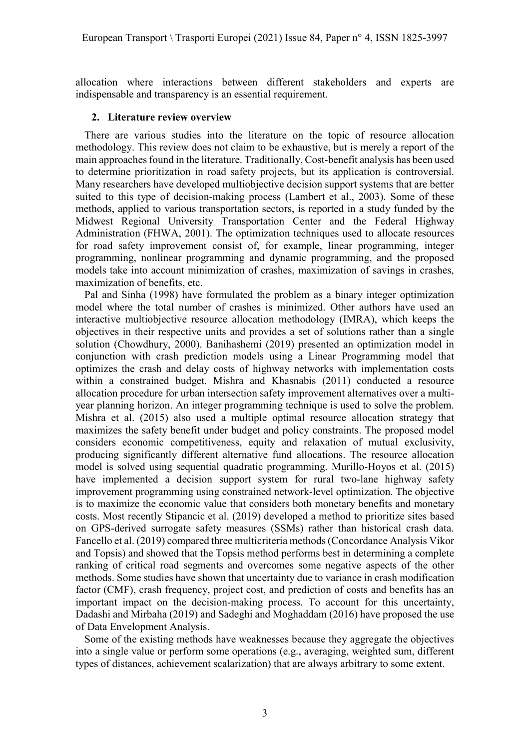allocation where interactions between different stakeholders and experts are indispensable and transparency is an essential requirement.

## 2. Literature review overview

There are various studies into the literature on the topic of resource allocation methodology. This review does not claim to be exhaustive, but is merely a report of the main approaches found in the literature. Traditionally, Cost-benefit analysis has been used to determine prioritization in road safety projects, but its application is controversial. Many researchers have developed multiobjective decision support systems that are better suited to this type of decision-making process (Lambert et al., 2003). Some of these methods, applied to various transportation sectors, is reported in a study funded by the Midwest Regional University Transportation Center and the Federal Highway Administration (FHWA, 2001). The optimization techniques used to allocate resources for road safety improvement consist of, for example, linear programming, integer programming, nonlinear programming and dynamic programming, and the proposed models take into account minimization of crashes, maximization of savings in crashes, maximization of benefits, etc.

Pal and Sinha (1998) have formulated the problem as a binary integer optimization model where the total number of crashes is minimized. Other authors have used an interactive multiobjective resource allocation methodology (IMRA), which keeps the objectives in their respective units and provides a set of solutions rather than a single solution (Chowdhury, 2000). Banihashemi (2019) presented an optimization model in conjunction with crash prediction models using a Linear Programming model that optimizes the crash and delay costs of highway networks with implementation costs within a constrained budget. Mishra and Khasnabis (2011) conducted a resource allocation procedure for urban intersection safety improvement alternatives over a multiyear planning horizon. An integer programming technique is used to solve the problem. Mishra et al. (2015) also used a multiple optimal resource allocation strategy that maximizes the safety benefit under budget and policy constraints. The proposed model considers economic competitiveness, equity and relaxation of mutual exclusivity, producing significantly different alternative fund allocations. The resource allocation model is solved using sequential quadratic programming. Murillo-Hoyos et al. (2015) have implemented a decision support system for rural two-lane highway safety improvement programming using constrained network-level optimization. The objective is to maximize the economic value that considers both monetary benefits and monetary costs. Most recently Stipancic et al. (2019) developed a method to prioritize sites based on GPS-derived surrogate safety measures (SSMs) rather than historical crash data. Fancello et al. (2019) compared three multicriteria methods (Concordance Analysis Vikor and Topsis) and showed that the Topsis method performs best in determining a complete ranking of critical road segments and overcomes some negative aspects of the other methods. Some studies have shown that uncertainty due to variance in crash modification factor (CMF), crash frequency, project cost, and prediction of costs and benefits has an important impact on the decision-making process. To account for this uncertainty, Dadashi and Mirbaha (2019) and Sadeghi and Moghaddam (2016) have proposed the use of Data Envelopment Analysis.

Some of the existing methods have weaknesses because they aggregate the objectives into a single value or perform some operations (e.g., averaging, weighted sum, different types of distances, achievement scalarization) that are always arbitrary to some extent.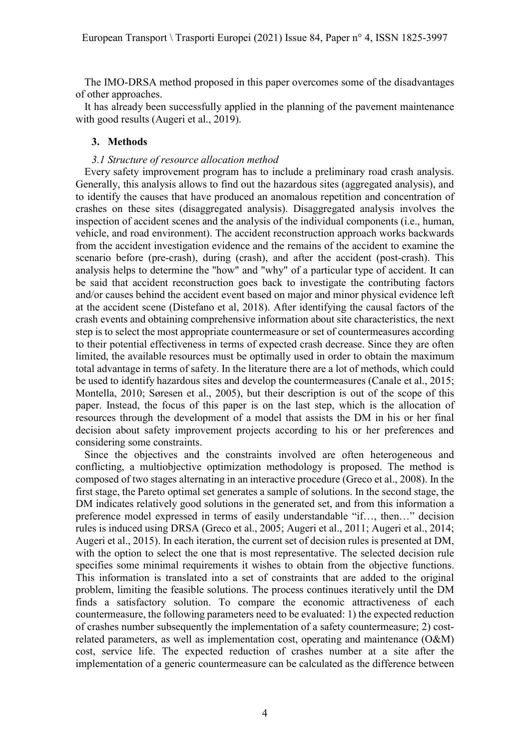The IMO-DRSA method proposed in this paper overcomes some of the disadvantages of other approaches.

It has already been successfully applied in the planning of the pavement maintenance with good results (Augeri et al., 2019).

## 3. Methods

## 3.1 Structure of resource allocation method

Every safety improvement program has to include a preliminary road crash analysis. Generally, this analysis allows to find out the hazardous sites (aggregated analysis), and to identify the causes that have produced an anomalous repetition and concentration of crashes on these sites (disaggregated analysis). Disaggregated analysis involves the inspection of accident scenes and the analysis of the individual components (i.e., human, vehicle, and road environment). The accident reconstruction approach works backwards from the accident investigation evidence and the remains of the accident to examine the scenario before (pre-crash), during (crash), and after the accident (post-crash). This analysis helps to determine the "how" and "why" of a particular type of accident. It can be said that accident reconstruction goes back to investigate the contributing factors and/or causes behind the accident event based on major and minor physical evidence left at the accident scene (Distefano et al, 2018). After identifying the causal factors of the crash events and obtaining comprehensive information about site characteristics, the next step is to select the most appropriate countermeasure or set of countermeasures according to their potential effectiveness in terms of expected crash decrease. Since they are often limited, the available resources must be optimally used in order to obtain the maximum total advantage in terms of safety. In the literature there are a lot of methods, which could be used to identify hazardous sites and develop the countermeasures (Canale et al., 2015; Montella, 2010; Søresen et al., 2005), but their description is out of the scope of this paper. Instead, the focus of this paper is on the last step, which is the allocation of resources through the development of a model that assists the DM in his or her final decision about safety improvement projects according to his or her preferences and considering some constraints.

Since the objectives and the constraints involved are often heterogeneous and conflicting, a multiobjective optimization methodology is proposed. The method is composed of two stages alternating in an interactive procedure (Greco et al., 2008). In the first stage, the Pareto optimal set generates a sample of solutions. In the second stage, the DM indicates relatively good solutions in the generated set, and from this information a preference model expressed in terms of easily understandable "if…, then…" decision rules is induced using DRSA (Greco et al., 2005; Augeri et al., 2011; Augeri et al., 2014; Augeri et al., 2015). In each iteration, the current set of decision rules is presented at DM, with the option to select the one that is most representative. The selected decision rule specifies some minimal requirements it wishes to obtain from the objective functions. This information is translated into a set of constraints that are added to the original problem, limiting the feasible solutions. The process continues iteratively until the DM finds a satisfactory solution. To compare the economic attractiveness of each countermeasure, the following parameters need to be evaluated: 1) the expected reduction of crashes number subsequently the implementation of a safety countermeasure; 2) costrelated parameters, as well as implementation cost, operating and maintenance (O&M) cost, service life. The expected reduction of crashes number at a site after the implementation of a generic countermeasure can be calculated as the difference between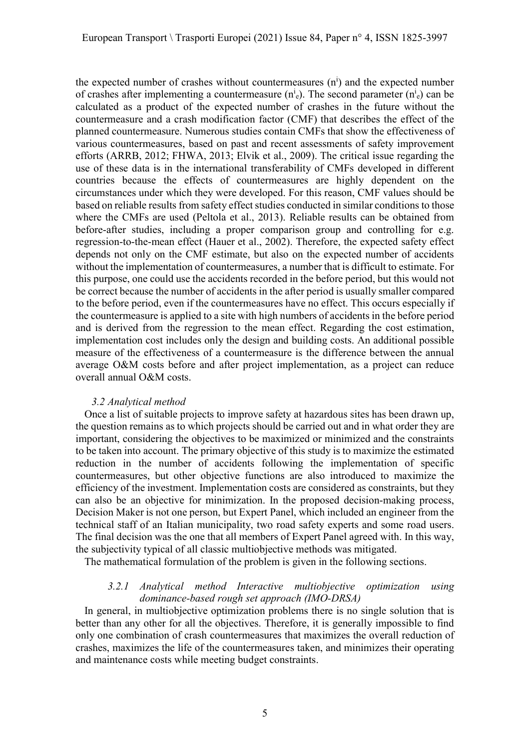the expected number of crashes without countermeasures  $(n<sup>i</sup>)$  and the expected number of crashes after implementing a countermeasure  $(n_e^i)$ . The second parameter  $(n_e^i)$  can be calculated as a product of the expected number of crashes in the future without the countermeasure and a crash modification factor (CMF) that describes the effect of the planned countermeasure. Numerous studies contain CMFs that show the effectiveness of various countermeasures, based on past and recent assessments of safety improvement efforts (ARRB, 2012; FHWA, 2013; Elvik et al., 2009). The critical issue regarding the use of these data is in the international transferability of CMFs developed in different countries because the effects of countermeasures are highly dependent on the circumstances under which they were developed. For this reason, CMF values should be based on reliable results from safety effect studies conducted in similar conditions to those where the CMFs are used (Peltola et al., 2013). Reliable results can be obtained from before-after studies, including a proper comparison group and controlling for e.g. regression-to-the-mean effect (Hauer et al., 2002). Therefore, the expected safety effect depends not only on the CMF estimate, but also on the expected number of accidents without the implementation of countermeasures, a number that is difficult to estimate. For this purpose, one could use the accidents recorded in the before period, but this would not be correct because the number of accidents in the after period is usually smaller compared to the before period, even if the countermeasures have no effect. This occurs especially if the countermeasure is applied to a site with high numbers of accidents in the before period and is derived from the regression to the mean effect. Regarding the cost estimation, implementation cost includes only the design and building costs. An additional possible measure of the effectiveness of a countermeasure is the difference between the annual average O&M costs before and after project implementation, as a project can reduce overall annual O&M costs.

#### 3.2 Analytical method

Once a list of suitable projects to improve safety at hazardous sites has been drawn up, the question remains as to which projects should be carried out and in what order they are important, considering the objectives to be maximized or minimized and the constraints to be taken into account. The primary objective of this study is to maximize the estimated reduction in the number of accidents following the implementation of specific countermeasures, but other objective functions are also introduced to maximize the efficiency of the investment. Implementation costs are considered as constraints, but they can also be an objective for minimization. In the proposed decision-making process, Decision Maker is not one person, but Expert Panel, which included an engineer from the technical staff of an Italian municipality, two road safety experts and some road users. The final decision was the one that all members of Expert Panel agreed with. In this way, the subjectivity typical of all classic multiobjective methods was mitigated.

The mathematical formulation of the problem is given in the following sections.

### 3.2.1 Analytical method Interactive multiobjective optimization using dominance-based rough set approach (IMO-DRSA)

In general, in multiobjective optimization problems there is no single solution that is better than any other for all the objectives. Therefore, it is generally impossible to find only one combination of crash countermeasures that maximizes the overall reduction of crashes, maximizes the life of the countermeasures taken, and minimizes their operating and maintenance costs while meeting budget constraints.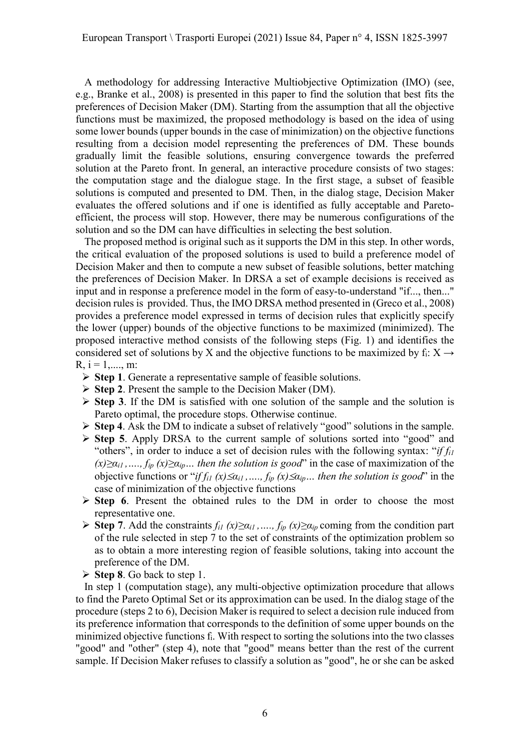A methodology for addressing Interactive Multiobjective Optimization (IMO) (see, e.g., Branke et al., 2008) is presented in this paper to find the solution that best fits the preferences of Decision Maker (DM). Starting from the assumption that all the objective functions must be maximized, the proposed methodology is based on the idea of using some lower bounds (upper bounds in the case of minimization) on the objective functions resulting from a decision model representing the preferences of DM. These bounds gradually limit the feasible solutions, ensuring convergence towards the preferred solution at the Pareto front. In general, an interactive procedure consists of two stages: the computation stage and the dialogue stage. In the first stage, a subset of feasible solutions is computed and presented to DM. Then, in the dialog stage, Decision Maker evaluates the offered solutions and if one is identified as fully acceptable and Paretoefficient, the process will stop. However, there may be numerous configurations of the solution and so the DM can have difficulties in selecting the best solution.

The proposed method is original such as it supports the DM in this step. In other words, the critical evaluation of the proposed solutions is used to build a preference model of Decision Maker and then to compute a new subset of feasible solutions, better matching the preferences of Decision Maker. In DRSA a set of example decisions is received as input and in response a preference model in the form of easy-to-understand "if..., then..." decision rules is provided. Thus, the IMO DRSA method presented in (Greco et al., 2008) provides a preference model expressed in terms of decision rules that explicitly specify the lower (upper) bounds of the objective functions to be maximized (minimized). The proposed interactive method consists of the following steps (Fig. 1) and identifies the considered set of solutions by X and the objective functions to be maximized by  $f_i: X \rightarrow$  $R, i = 1, \dots, m$ :

- $\triangleright$  Step 1. Generate a representative sample of feasible solutions.
- $\triangleright$  Step 2. Present the sample to the Decision Maker (DM).
- $\triangleright$  Step 3. If the DM is satisfied with one solution of the sample and the solution is Pareto optimal, the procedure stops. Otherwise continue.
- $\triangleright$  Step 4. Ask the DM to indicate a subset of relatively "good" solutions in the sample.
- $\triangleright$  Step 5. Apply DRSA to the current sample of solutions sorted into "good" and "others", in order to induce a set of decision rules with the following syntax: "if  $f_{il}$  $(x)\geq\alpha_{i1},\ldots,f_{ip}(x)\geq\alpha_{ip}\ldots$  then the solution is good" in the case of maximization of the objective functions or "if  $f_{il}$  (x)  $\leq \alpha_{il}$ , ...,  $f_{ip}$  (x)  $\leq \alpha_{ip}$ ... then the solution is good" in the case of minimization of the objective functions
- $\triangleright$  Step 6. Present the obtained rules to the DM in order to choose the most representative one.
- Step 7. Add the constraints  $f_{il}$  (x) $\geq \alpha_{il}$ , ...,  $f_{ip}$  (x) $\geq \alpha_{ip}$  coming from the condition part of the rule selected in step 7 to the set of constraints of the optimization problem so as to obtain a more interesting region of feasible solutions, taking into account the preference of the DM.
- $\triangleright$  Step 8. Go back to step 1.

In step 1 (computation stage), any multi-objective optimization procedure that allows to find the Pareto Optimal Set or its approximation can be used. In the dialog stage of the procedure (steps 2 to 6), Decision Maker is required to select a decision rule induced from its preference information that corresponds to the definition of some upper bounds on the minimized objective functions fi. With respect to sorting the solutions into the two classes "good" and "other" (step 4), note that "good" means better than the rest of the current sample. If Decision Maker refuses to classify a solution as "good", he or she can be asked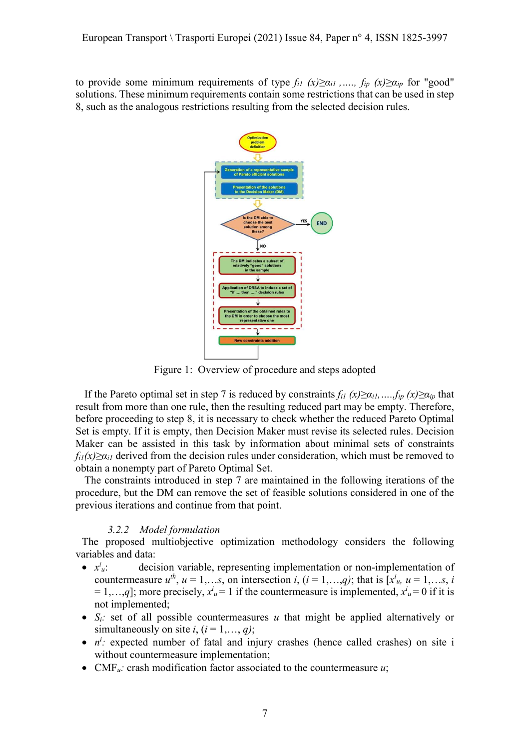to provide some minimum requirements of type  $f_{il}$  (x)≥ $\alpha_{il}$ , ...,  $f_{ip}$  (x)≥ $\alpha_{ip}$  for "good" solutions. These minimum requirements contain some restrictions that can be used in step 8, such as the analogous restrictions resulting from the selected decision rules.



Figure 1: Overview of procedure and steps adopted

If the Pareto optimal set in step 7 is reduced by constraints  $f_{il} (x) \ge a_{il},...,f_{ip} (x) \ge a_{ip}$  that result from more than one rule, then the resulting reduced part may be empty. Therefore, before proceeding to step 8, it is necessary to check whether the reduced Pareto Optimal Set is empty. If it is empty, then Decision Maker must revise its selected rules. Decision Maker can be assisted in this task by information about minimal sets of constraints  $f_{ii}(x) \geq \alpha_{ii}$  derived from the decision rules under consideration, which must be removed to obtain a nonempty part of Pareto Optimal Set.

The constraints introduced in step 7 are maintained in the following iterations of the procedure, but the DM can remove the set of feasible solutions considered in one of the previous iterations and continue from that point.

## 3.2.2 Model formulation

The proposed multiobjective optimization methodology considers the following variables and data:

- $\bullet$   $x^i$ decision variable, representing implementation or non-implementation of countermeasure  $u^{th}$ ,  $u = 1,...s$ , on intersection i,  $(i = 1,...,q)$ ; that is  $[x<sup>i</sup><sub>u</sub>, u = 1,...s, i]$  $= 1,...,q$ ]; more precisely,  $x^i u = 1$  if the countermeasure is implemented,  $x^i u = 0$  if it is not implemented;
- $\bullet$  S<sub>i</sub>: set of all possible countermeasures u that might be applied alternatively or simultaneously on site i,  $(i = 1, \ldots, q)$ ;
- $\bullet$   $n^i$ : expected number of fatal and injury crashes (hence called crashes) on site i without countermeasure implementation;
- CMF $u$ : crash modification factor associated to the countermeasure  $u$ ;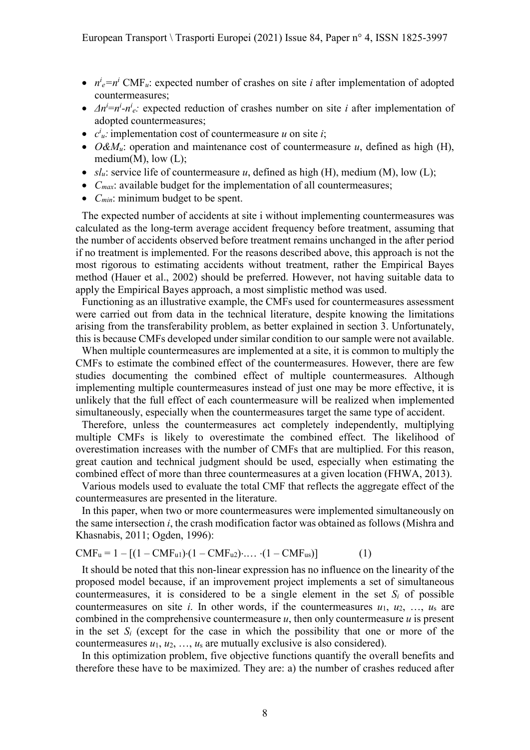- $n^i e = n^i$  CMF<sub>u</sub>: expected number of crashes on site *i* after implementation of adopted countermeasures;
- $\Delta n^i = n^i n^i e$ : expected reduction of crashes number on site *i* after implementation of adopted countermeasures;
- $c^i_u$ : implementation cost of countermeasure u on site i;
- $O\&M_u$ : operation and maintenance cost of countermeasure u, defined as high (H), medium $(M)$ , low  $(L)$ ;
- $sl_u$ : service life of countermeasure u, defined as high (H), medium (M), low (L);
- $\bullet$   $C_{max}$ : available budget for the implementation of all countermeasures;
- $C_{min}$ : minimum budget to be spent.

The expected number of accidents at site i without implementing countermeasures was calculated as the long-term average accident frequency before treatment, assuming that the number of accidents observed before treatment remains unchanged in the after period if no treatment is implemented. For the reasons described above, this approach is not the most rigorous to estimating accidents without treatment, rather the Empirical Bayes method (Hauer et al., 2002) should be preferred. However, not having suitable data to apply the Empirical Bayes approach, a most simplistic method was used.

Functioning as an illustrative example, the CMFs used for countermeasures assessment were carried out from data in the technical literature, despite knowing the limitations arising from the transferability problem, as better explained in section 3. Unfortunately, this is because CMFs developed under similar condition to our sample were not available.

When multiple countermeasures are implemented at a site, it is common to multiply the CMFs to estimate the combined effect of the countermeasures. However, there are few studies documenting the combined effect of multiple countermeasures. Although implementing multiple countermeasures instead of just one may be more effective, it is unlikely that the full effect of each countermeasure will be realized when implemented simultaneously, especially when the countermeasures target the same type of accident.

Therefore, unless the countermeasures act completely independently, multiplying multiple CMFs is likely to overestimate the combined effect. The likelihood of overestimation increases with the number of CMFs that are multiplied. For this reason, great caution and technical judgment should be used, especially when estimating the combined effect of more than three countermeasures at a given location (FHWA, 2013).

Various models used to evaluate the total CMF that reflects the aggregate effect of the countermeasures are presented in the literature.

In this paper, when two or more countermeasures were implemented simultaneously on the same intersection i, the crash modification factor was obtained as follows (Mishra and Khasnabis, 2011; Ogden, 1996):

$$
CMFu = 1 - [(1 - CMFu1) \cdot (1 - CMFu2) \cdot ... \cdot (1 - CMFus)]
$$
 (1)

It should be noted that this non-linear expression has no influence on the linearity of the proposed model because, if an improvement project implements a set of simultaneous countermeasures, it is considered to be a single element in the set  $S_i$  of possible countermeasures on site *i*. In other words, if the countermeasures  $u_1, u_2, ..., u_s$  are combined in the comprehensive countermeasure  $u$ , then only countermeasure  $u$  is present in the set  $S_i$  (except for the case in which the possibility that one or more of the countermeasures  $u_1, u_2, \ldots, u_s$  are mutually exclusive is also considered).

In this optimization problem, five objective functions quantify the overall benefits and therefore these have to be maximized. They are: a) the number of crashes reduced after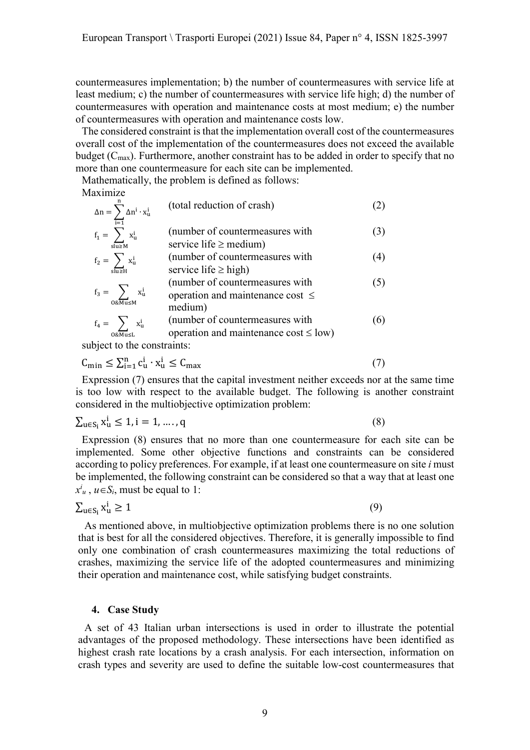countermeasures implementation; b) the number of countermeasures with service life at least medium; c) the number of countermeasures with service life high; d) the number of countermeasures with operation and maintenance costs at most medium; e) the number of countermeasures with operation and maintenance costs low.

The considered constraint is that the implementation overall cost of the countermeasures overall cost of the implementation of the countermeasures does not exceed the available budget  $(C_{\text{max}})$ . Furthermore, another constraint has to be added in order to specify that no more than one countermeasure for each site can be implemented.

Mathematically, the problem is defined as follows:

Maximize

| $\Delta n = \sum \Delta n^i \cdot x^i_u$                                                                                                                                                                                                                                                     | (total reduction of crash)                                                          |     |
|----------------------------------------------------------------------------------------------------------------------------------------------------------------------------------------------------------------------------------------------------------------------------------------------|-------------------------------------------------------------------------------------|-----|
| $\overline{i=1}$<br>$f_1 = \sum x_u^i$<br>$s\overline{u} \geq M$                                                                                                                                                                                                                             | (number of countermeasures with<br>service life $\geq$ medium)                      | (3) |
| $f_2 = \sum x_u^i$<br>$s\overline{\overline{u} \geq H}$                                                                                                                                                                                                                                      | (number of countermeasures with<br>service life $\geq$ high)                        | (4) |
| $f_3 = \sum_{\alpha} x_{\alpha}^{\alpha}$<br>$0&\overline{Mu} \leq M$                                                                                                                                                                                                                        | (number of countermeasures with<br>operation and maintenance cost $\leq$<br>medium) | (5) |
| $f_4 = \sum_i x_u^i$<br>$0&\overline{\text{Mu}} \leq L$<br>$\mathbf{1}$ , and the contract of the contract of the contract of the contract of the contract of the contract of the contract of the contract of the contract of the contract of the contract of the contract of the contract o | (number of countermeasures with<br>operation and maintenance $cost \leq low$ )      | (6) |

subject to the constraints:

$$
C_{\min} \le \sum_{i=1}^{n} c_{u}^{i} \cdot x_{u}^{i} \le C_{\max}
$$
\n<sup>(7)</sup>

Expression (7) ensures that the capital investment neither exceeds nor at the same time is too low with respect to the available budget. The following is another constraint considered in the multiobjective optimization problem:

$$
\sum_{u \in S_i} x_u^i \le 1, i = 1, \dots, q \tag{8}
$$

Expression (8) ensures that no more than one countermeasure for each site can be implemented. Some other objective functions and constraints can be considered according to policy preferences. For example, if at least one countermeasure on site  $i$  must be implemented, the following constraint can be considered so that a way that at least one  $x^i_u$ ,  $u \in S_i$ , must be equal to 1:

$$
\sum_{u \in S_i} x_u^i \ge 1 \tag{9}
$$

As mentioned above, in multiobjective optimization problems there is no one solution that is best for all the considered objectives. Therefore, it is generally impossible to find only one combination of crash countermeasures maximizing the total reductions of crashes, maximizing the service life of the adopted countermeasures and minimizing their operation and maintenance cost, while satisfying budget constraints.

## 4. Case Study

A set of 43 Italian urban intersections is used in order to illustrate the potential advantages of the proposed methodology. These intersections have been identified as highest crash rate locations by a crash analysis. For each intersection, information on crash types and severity are used to define the suitable low-cost countermeasures that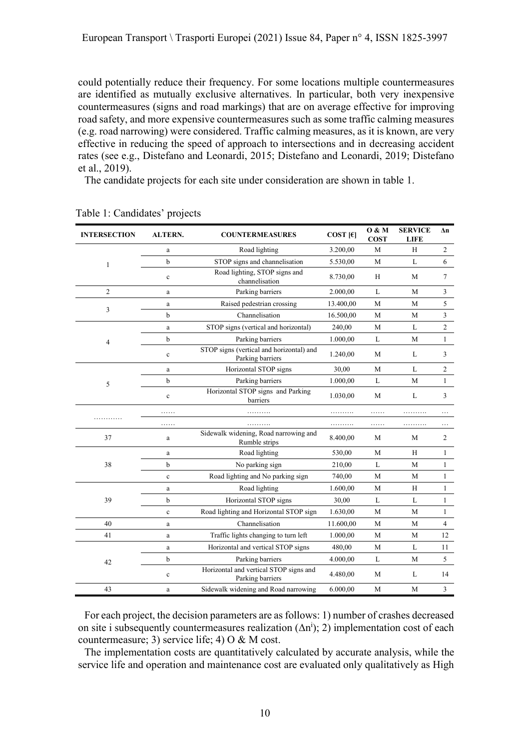could potentially reduce their frequency. For some locations multiple countermeasures are identified as mutually exclusive alternatives. In particular, both very inexpensive countermeasures (signs and road markings) that are on average effective for improving road safety, and more expensive countermeasures such as some traffic calming measures (e.g. road narrowing) were considered. Traffic calming measures, as it is known, are very effective in reducing the speed of approach to intersections and in decreasing accident rates (see e.g., Distefano and Leonardi, 2015; Distefano and Leonardi, 2019; Distefano et al., 2019).

The candidate projects for each site under consideration are shown in table 1.

| <b>INTERSECTION</b> | <b>ALTERN.</b> | <b>COUNTERMEASURES</b>                                       | COST $[\epsilon]$ | 0 & M<br><b>COST</b> | <b>SERVICE</b><br><b>LIFE</b> | Δn           |  |
|---------------------|----------------|--------------------------------------------------------------|-------------------|----------------------|-------------------------------|--------------|--|
|                     | a              | Road lighting                                                | 3.200,00          | М                    | Н                             | 2            |  |
| $\mathbf{1}$        | b              | STOP signs and channelisation                                | 5.530,00          | M                    | L                             | 6            |  |
|                     | $\mathbf c$    | Road lighting, STOP signs and<br>channelisation              | 8.730,00          | H                    | М                             | 7            |  |
| 2                   | a              | Parking barriers                                             | 2.000,00          | L                    | М                             | 3            |  |
| 3                   | $\rm{a}$       | Raised pedestrian crossing                                   | 13.400,00         | M                    | М                             | 5            |  |
|                     | b              | Channelisation                                               | 16.500,00         | M                    | M                             | 3            |  |
|                     | $\mathbf{a}$   | STOP signs (vertical and horizontal)                         | 240,00            | M                    | L                             | 2            |  |
| 4                   | b              | Parking barriers                                             | 1.000,00          | L                    | М                             | 1            |  |
|                     | $\mathbf c$    | STOP signs (vertical and horizontal) and<br>Parking barriers | 1.240,00          | M                    | L                             | 3            |  |
|                     | a              | Horizontal STOP signs                                        | 30,00             | M                    | L                             | 2            |  |
| 5                   | b              | Parking barriers                                             | 1.000,00          | L                    | М                             | 1            |  |
|                     | $\mathbf c$    | Horizontal STOP signs and Parking<br>barriers                | 1.030,00          | M                    | L                             | 3            |  |
|                     |                |                                                              | .                 | .                    |                               |              |  |
|                     | .              | .                                                            | .                 | .                    | .                             | $\ddots$     |  |
| 37                  | a              | Sidewalk widening, Road narrowing and<br>Rumble strips       | 8.400,00          | М                    | М                             | 2            |  |
|                     | a              | Road lighting                                                | 530,00            | М                    | Н                             | 1            |  |
| 38                  | b              | No parking sign                                              | 210,00            | L                    | $\mathbf M$                   | $\mathbf{1}$ |  |
|                     | $\mathbf c$    | Road lighting and No parking sign                            | 740,00            | M                    | M                             | $\mathbf{1}$ |  |
| 39                  | $\rm{a}$       | Road lighting                                                | 1.600,00          | M                    | H                             | $\mathbf{1}$ |  |
|                     | b              | Horizontal STOP signs                                        | 30,00             | L                    | L                             | $\mathbf{1}$ |  |
|                     | $\mathbf c$    | Road lighting and Horizontal STOP sign                       | 1.630,00          | M                    | M                             | 1            |  |
| 40                  | a              | Channelisation                                               | 11.600,00         | M                    | M                             | 4            |  |
| 41                  | a              | Traffic lights changing to turn left                         | 1.000,00          | M                    | M                             | 12           |  |
| 42                  | a              | Horizontal and vertical STOP signs                           | 480,00            | М                    | L                             | 11           |  |
|                     | b              | Parking barriers                                             | 4.000,00          | L                    | М                             | 5            |  |
|                     | c              | Horizontal and vertical STOP signs and<br>Parking barriers   | 4.480,00          | М                    | L                             | 14           |  |
| 43                  | a              | Sidewalk widening and Road narrowing                         | 6.000,00          | M                    | М                             | 3            |  |

Table 1: Candidates' projects

For each project, the decision parameters are as follows: 1) number of crashes decreased on site i subsequently countermeasures realization  $(\Delta n^{i})$ ; 2) implementation cost of each countermeasure; 3) service life; 4) O & M cost.

The implementation costs are quantitatively calculated by accurate analysis, while the service life and operation and maintenance cost are evaluated only qualitatively as High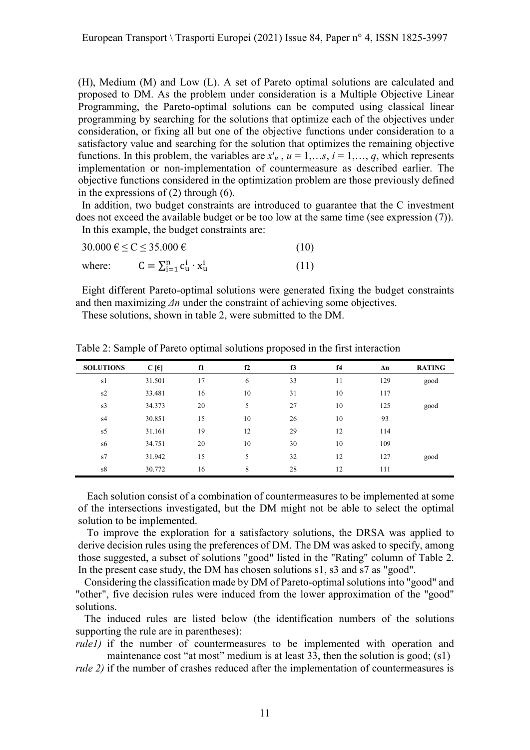(H), Medium (M) and Low (L). A set of Pareto optimal solutions are calculated and proposed to DM. As the problem under consideration is a Multiple Objective Linear Programming, the Pareto-optimal solutions can be computed using classical linear programming by searching for the solutions that optimize each of the objectives under consideration, or fixing all but one of the objective functions under consideration to a satisfactory value and searching for the solution that optimizes the remaining objective functions. In this problem, the variables are  $x^i_u$ ,  $u = 1,...s$ ,  $i = 1,..., q$ , which represents implementation or non-implementation of countermeasure as described earlier. The objective functions considered in the optimization problem are those previously defined in the expressions of (2) through (6).

In addition, two budget constraints are introduced to guarantee that the C investment does not exceed the available budget or be too low at the same time (see expression (7)). In this example, the budget constraints are:

| $30.000 \text{ } \in \text{ } \leq C \leq 35.000 \text{ } \in$ |                                                |      |
|----------------------------------------------------------------|------------------------------------------------|------|
| where:                                                         | $C = \sum_{i=1}^{n} c_{u}^{i} \cdot x_{u}^{i}$ | (11) |

Eight different Pareto-optimal solutions were generated fixing the budget constraints and then maximizing  $\Delta n$  under the constraint of achieving some objectives.

These solutions, shown in table 2, were submitted to the DM.

| <b>SOLUTIONS</b> | $C[\varepsilon]$ | f1 | f2 | f3 | f <sub>4</sub> | $\Delta n$ | <b>RATING</b> |
|------------------|------------------|----|----|----|----------------|------------|---------------|
| s1               | 31.501           | 17 | 6  | 33 | 11             | 129        | good          |
| s2               | 33.481           | 16 | 10 | 31 | 10             | 117        |               |
| s <sub>3</sub>   | 34.373           | 20 | 5  | 27 | 10             | 125        | good          |
| s4               | 30.851           | 15 | 10 | 26 | 10             | 93         |               |
| s5               | 31.161           | 19 | 12 | 29 | 12             | 114        |               |
| s6               | 34.751           | 20 | 10 | 30 | 10             | 109        |               |
| s7               | 31.942           | 15 | 5  | 32 | 12             | 127        | good          |
| s8               | 30.772           | 16 | 8  | 28 | 12             | 111        |               |

Table 2: Sample of Pareto optimal solutions proposed in the first interaction

Each solution consist of a combination of countermeasures to be implemented at some of the intersections investigated, but the DM might not be able to select the optimal solution to be implemented.

To improve the exploration for a satisfactory solutions, the DRSA was applied to derive decision rules using the preferences of DM. The DM was asked to specify, among those suggested, a subset of solutions "good" listed in the "Rating" column of Table 2. In the present case study, the DM has chosen solutions s1, s3 and s7 as "good".

Considering the classification made by DM of Pareto-optimal solutions into "good" and "other", five decision rules were induced from the lower approximation of the "good" solutions.

The induced rules are listed below (the identification numbers of the solutions supporting the rule are in parentheses):

rule1) if the number of countermeasures to be implemented with operation and maintenance cost "at most" medium is at least 33, then the solution is good; (s1)

rule 2) if the number of crashes reduced after the implementation of countermeasures is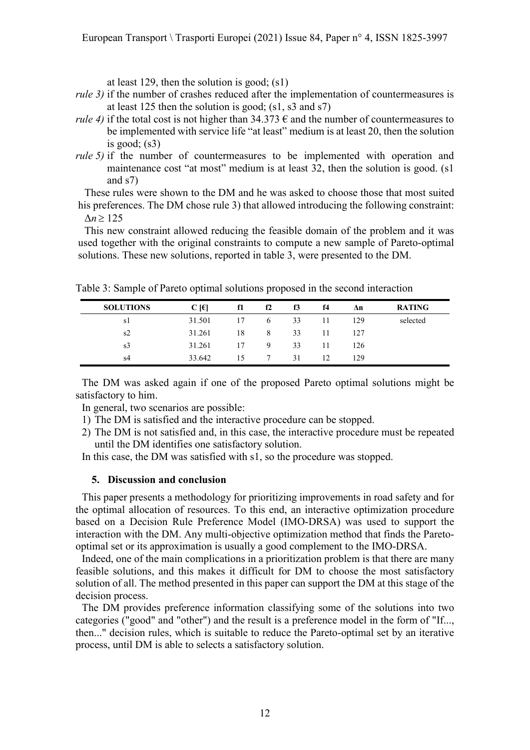at least 129, then the solution is good; (s1)

- rule 3) if the number of crashes reduced after the implementation of countermeasures is at least 125 then the solution is good; (s1, s3 and s7)
- *rule 4*) if the total cost is not higher than  $34.373 \text{ }\epsilon$  and the number of countermeasures to be implemented with service life "at least" medium is at least 20, then the solution is good;  $(s3)$
- rule 5) if the number of countermeasures to be implemented with operation and maintenance cost "at most" medium is at least 32, then the solution is good. (s1) and s7)

These rules were shown to the DM and he was asked to choose those that most suited his preferences. The DM chose rule 3) that allowed introducing the following constraint:  $\Delta n \geq 125$ 

This new constraint allowed reducing the feasible domain of the problem and it was used together with the original constraints to compute a new sample of Pareto-optimal solutions. These new solutions, reported in table 3, were presented to the DM.

Table 3: Sample of Pareto optimal solutions proposed in the second interaction

| <b>SOLUTIONS</b> | $C$ [ $\epsilon$ ] | f1 | f2 | f3 | f4 | Δn  | <b>RATING</b> |
|------------------|--------------------|----|----|----|----|-----|---------------|
| s l              | 31.501             | 17 | 6  | 33 | 11 | 129 | selected      |
| s2               | 31.261             | 18 | 8  | 33 | 11 | 127 |               |
| s <sub>3</sub>   | 31.261             | 17 | 9  | 33 | 11 | 126 |               |
| s4               | 33.642             | 15 |    | 31 | 12 | 129 |               |

The DM was asked again if one of the proposed Pareto optimal solutions might be satisfactory to him.

In general, two scenarios are possible:

- 1) The DM is satisfied and the interactive procedure can be stopped.
- 2) The DM is not satisfied and, in this case, the interactive procedure must be repeated until the DM identifies one satisfactory solution.

In this case, the DM was satisfied with s1, so the procedure was stopped.

## 5. Discussion and conclusion

This paper presents a methodology for prioritizing improvements in road safety and for the optimal allocation of resources. To this end, an interactive optimization procedure based on a Decision Rule Preference Model (IMO-DRSA) was used to support the interaction with the DM. Any multi-objective optimization method that finds the Paretooptimal set or its approximation is usually a good complement to the IMO-DRSA.

Indeed, one of the main complications in a prioritization problem is that there are many feasible solutions, and this makes it difficult for DM to choose the most satisfactory solution of all. The method presented in this paper can support the DM at this stage of the decision process.

The DM provides preference information classifying some of the solutions into two categories ("good" and "other") and the result is a preference model in the form of "If..., then..." decision rules, which is suitable to reduce the Pareto-optimal set by an iterative process, until DM is able to selects a satisfactory solution.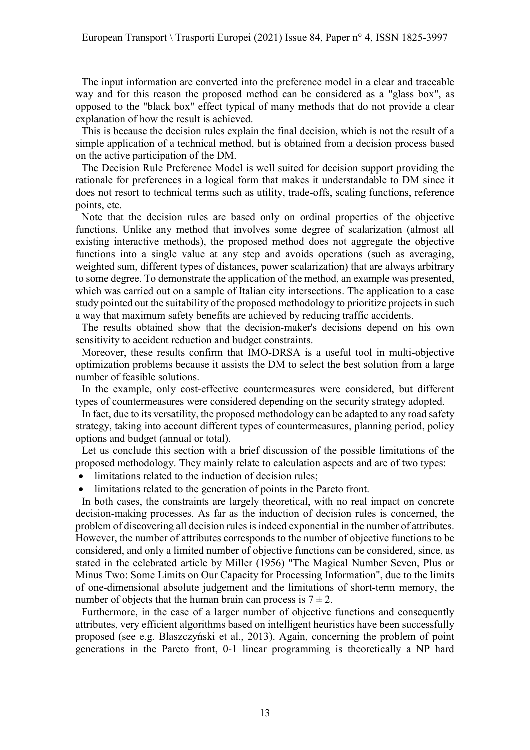The input information are converted into the preference model in a clear and traceable way and for this reason the proposed method can be considered as a "glass box", as opposed to the "black box" effect typical of many methods that do not provide a clear explanation of how the result is achieved.

This is because the decision rules explain the final decision, which is not the result of a simple application of a technical method, but is obtained from a decision process based on the active participation of the DM.

The Decision Rule Preference Model is well suited for decision support providing the rationale for preferences in a logical form that makes it understandable to DM since it does not resort to technical terms such as utility, trade-offs, scaling functions, reference points, etc.

Note that the decision rules are based only on ordinal properties of the objective functions. Unlike any method that involves some degree of scalarization (almost all existing interactive methods), the proposed method does not aggregate the objective functions into a single value at any step and avoids operations (such as averaging, weighted sum, different types of distances, power scalarization) that are always arbitrary to some degree. To demonstrate the application of the method, an example was presented, which was carried out on a sample of Italian city intersections. The application to a case study pointed out the suitability of the proposed methodology to prioritize projects in such a way that maximum safety benefits are achieved by reducing traffic accidents.

The results obtained show that the decision-maker's decisions depend on his own sensitivity to accident reduction and budget constraints.

Moreover, these results confirm that IMO-DRSA is a useful tool in multi-objective optimization problems because it assists the DM to select the best solution from a large number of feasible solutions.

In the example, only cost-effective countermeasures were considered, but different types of countermeasures were considered depending on the security strategy adopted.

In fact, due to its versatility, the proposed methodology can be adapted to any road safety strategy, taking into account different types of countermeasures, planning period, policy options and budget (annual or total).

Let us conclude this section with a brief discussion of the possible limitations of the proposed methodology. They mainly relate to calculation aspects and are of two types:

- limitations related to the induction of decision rules:
- limitations related to the generation of points in the Pareto front.

In both cases, the constraints are largely theoretical, with no real impact on concrete decision-making processes. As far as the induction of decision rules is concerned, the problem of discovering all decision rules is indeed exponential in the number of attributes. However, the number of attributes corresponds to the number of objective functions to be considered, and only a limited number of objective functions can be considered, since, as stated in the celebrated article by Miller (1956) "The Magical Number Seven, Plus or Minus Two: Some Limits on Our Capacity for Processing Information", due to the limits of one-dimensional absolute judgement and the limitations of short-term memory, the number of objects that the human brain can process is  $7 \pm 2$ .

Furthermore, in the case of a larger number of objective functions and consequently attributes, very efficient algorithms based on intelligent heuristics have been successfully proposed (see e.g. Blaszczyński et al., 2013). Again, concerning the problem of point generations in the Pareto front, 0-1 linear programming is theoretically a NP hard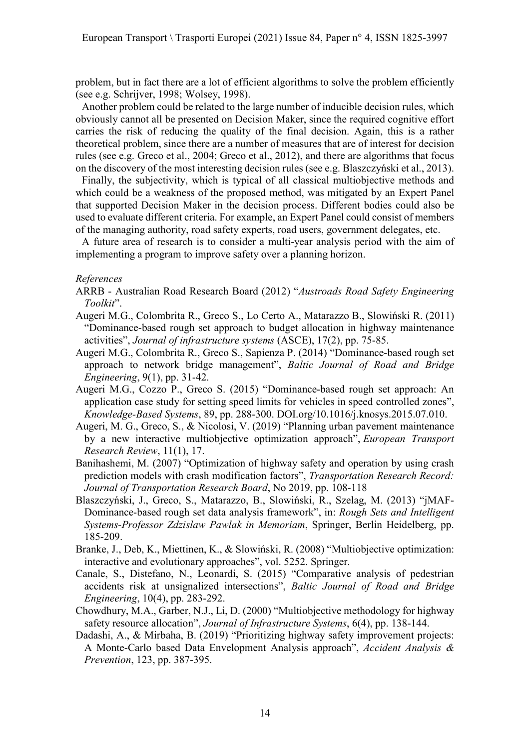problem, but in fact there are a lot of efficient algorithms to solve the problem efficiently (see e.g. Schrijver, 1998; Wolsey, 1998).

Another problem could be related to the large number of inducible decision rules, which obviously cannot all be presented on Decision Maker, since the required cognitive effort carries the risk of reducing the quality of the final decision. Again, this is a rather theoretical problem, since there are a number of measures that are of interest for decision rules (see e.g. Greco et al., 2004; Greco et al., 2012), and there are algorithms that focus on the discovery of the most interesting decision rules (see e.g. Blaszczyński et al., 2013).

Finally, the subjectivity, which is typical of all classical multiobjective methods and which could be a weakness of the proposed method, was mitigated by an Expert Panel that supported Decision Maker in the decision process. Different bodies could also be used to evaluate different criteria. For example, an Expert Panel could consist of members of the managing authority, road safety experts, road users, government delegates, etc.

A future area of research is to consider a multi-year analysis period with the aim of implementing a program to improve safety over a planning horizon.

## References

- ARRB Australian Road Research Board (2012) "Austroads Road Safety Engineering Toolkit".
- Augeri M.G., Colombrita R., Greco S., Lo Certo A., Matarazzo B., Slowiński R. (2011) "Dominance-based rough set approach to budget allocation in highway maintenance activities", Journal of infrastructure systems (ASCE), 17(2), pp. 75-85.
- Augeri M.G., Colombrita R., Greco S., Sapienza P. (2014) "Dominance-based rough set approach to network bridge management", Baltic Journal of Road and Bridge Engineering, 9(1), pp. 31-42.
- Augeri M.G., Cozzo P., Greco S. (2015) "Dominance-based rough set approach: An application case study for setting speed limits for vehicles in speed controlled zones", Knowledge-Based Systems, 89, pp. 288-300. DOI.org/10.1016/j.knosys.2015.07.010.
- Augeri, M. G., Greco, S., & Nicolosi, V. (2019) "Planning urban pavement maintenance by a new interactive multiobjective optimization approach", European Transport Research Review, 11(1), 17.
- Banihashemi, M. (2007) "Optimization of highway safety and operation by using crash prediction models with crash modification factors", Transportation Research Record: Journal of Transportation Research Board, No 2019, pp. 108-118
- Blaszczyński, J., Greco, S., Matarazzo, B., Slowiński, R., Szelag, M. (2013) "jMAF-Dominance-based rough set data analysis framework", in: Rough Sets and Intelligent Systems-Professor Zdzislaw Pawlak in Memoriam, Springer, Berlin Heidelberg, pp. 185-209.
- Branke, J., Deb, K., Miettinen, K., & Slowiński, R. (2008) "Multiobjective optimization: interactive and evolutionary approaches", vol. 5252. Springer.
- Canale, S., Distefano, N., Leonardi, S. (2015) "Comparative analysis of pedestrian accidents risk at unsignalized intersections", Baltic Journal of Road and Bridge Engineering, 10(4), pp. 283-292.
- Chowdhury, M.A., Garber, N.J., Li, D. (2000) "Multiobjective methodology for highway safety resource allocation", Journal of Infrastructure Systems, 6(4), pp. 138-144.
- Dadashi, A., & Mirbaha, B. (2019) "Prioritizing highway safety improvement projects: A Monte-Carlo based Data Envelopment Analysis approach", Accident Analysis & Prevention, 123, pp. 387-395.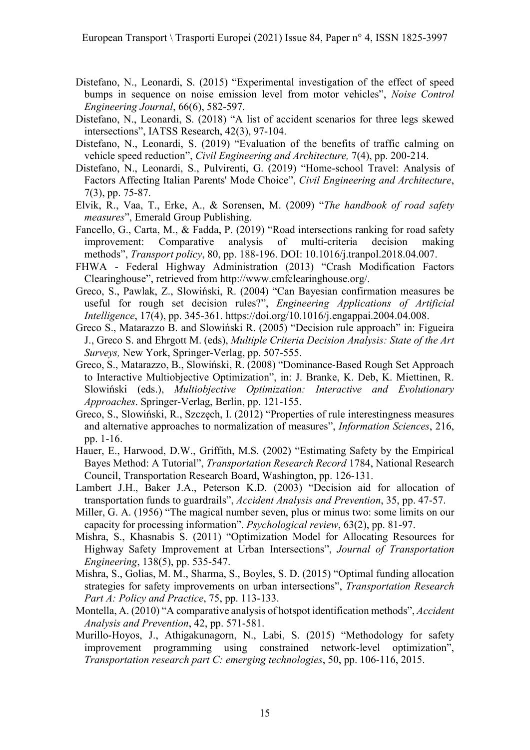- Distefano, N., Leonardi, S. (2015) "Experimental investigation of the effect of speed bumps in sequence on noise emission level from motor vehicles", Noise Control Engineering Journal, 66(6), 582-597.
- Distefano, N., Leonardi, S. (2018) "A list of accident scenarios for three legs skewed intersections", IATSS Research, 42(3), 97-104.
- Distefano, N., Leonardi, S. (2019) "Evaluation of the benefits of traffic calming on vehicle speed reduction", Civil Engineering and Architecture, 7(4), pp. 200-214.
- Distefano, N., Leonardi, S., Pulvirenti, G. (2019) "Home-school Travel: Analysis of Factors Affecting Italian Parents' Mode Choice", Civil Engineering and Architecture, 7(3), pp. 75-87.
- Elvik, R., Vaa, T., Erke, A., & Sorensen, M. (2009) "The handbook of road safety measures", Emerald Group Publishing.
- Fancello, G., Carta, M., & Fadda, P. (2019) "Road intersections ranking for road safety improvement: Comparative analysis of multi-criteria decision making methods", Transport policy, 80, pp. 188-196. DOI: 10.1016/j.tranpol.2018.04.007.
- FHWA Federal Highway Administration (2013) "Crash Modification Factors Clearinghouse", retrieved from http://www.cmfclearinghouse.org/.
- Greco, S., Pawlak, Z., Slowiński, R. (2004) "Can Bayesian confirmation measures be useful for rough set decision rules?", Engineering Applications of Artificial Intelligence, 17(4), pp. 345-361. https://doi.org/10.1016/j.engappai.2004.04.008.
- Greco S., Matarazzo B. and Slowiński R. (2005) "Decision rule approach" in: Figueira J., Greco S. and Ehrgott M. (eds), Multiple Criteria Decision Analysis: State of the Art Surveys, New York, Springer-Verlag, pp. 507-555.
- Greco, S., Matarazzo, B., Slowiński, R. (2008) "Dominance-Based Rough Set Approach to Interactive Multiobjective Optimization", in: J. Branke, K. Deb, K. Miettinen, R. Slowiński (eds.), Multiobjective Optimization: Interactive and Evolutionary Approaches. Springer-Verlag, Berlin, pp. 121-155.
- Greco, S., Slowiński, R., Szczęch, I. (2012) "Properties of rule interestingness measures and alternative approaches to normalization of measures", Information Sciences, 216, pp. 1-16.
- Hauer, E., Harwood, D.W., Griffith, M.S. (2002) "Estimating Safety by the Empirical Bayes Method: A Tutorial", Transportation Research Record 1784, National Research Council, Transportation Research Board, Washington, pp. 126-131.
- Lambert J.H., Baker J.A., Peterson K.D. (2003) "Decision aid for allocation of transportation funds to guardrails", Accident Analysis and Prevention, 35, pp. 47-57.
- Miller, G. A. (1956) "The magical number seven, plus or minus two: some limits on our capacity for processing information". Psychological review, 63(2), pp. 81-97.
- Mishra, S., Khasnabis S. (2011) "Optimization Model for Allocating Resources for Highway Safety Improvement at Urban Intersections", Journal of Transportation Engineering, 138(5), pp. 535-547.
- Mishra, S., Golias, M. M., Sharma, S., Boyles, S. D. (2015) "Optimal funding allocation strategies for safety improvements on urban intersections", Transportation Research Part A: Policy and Practice, 75, pp. 113-133.
- Montella, A. (2010) "A comparative analysis of hotspot identification methods", *Accident* Analysis and Prevention, 42, pp. 571-581.
- Murillo-Hoyos, J., Athigakunagorn, N., Labi, S. (2015) "Methodology for safety improvement programming using constrained network-level optimization", Transportation research part C: emerging technologies, 50, pp. 106-116, 2015.